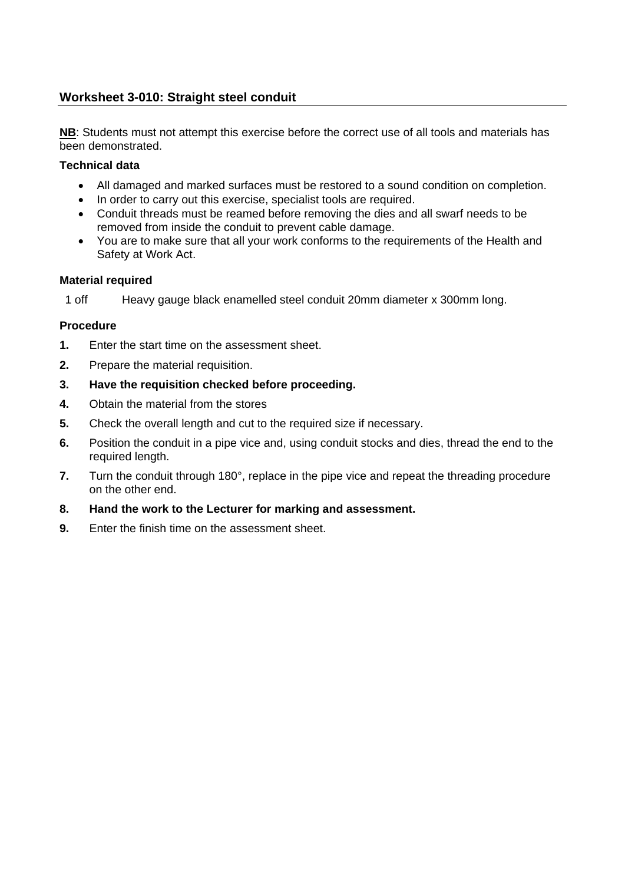# **Worksheet 3-010: Straight steel conduit**

**NB**: Students must not attempt this exercise before the correct use of all tools and materials has been demonstrated.

## **Technical data**

- All damaged and marked surfaces must be restored to a sound condition on completion.
- In order to carry out this exercise, specialist tools are required.
- Conduit threads must be reamed before removing the dies and all swarf needs to be removed from inside the conduit to prevent cable damage.
- You are to make sure that all your work conforms to the requirements of the Health and Safety at Work Act.

## **Material required**

1 off Heavy gauge black enamelled steel conduit 20mm diameter x 300mm long.

## **Procedure**

- **1.** Enter the start time on the assessment sheet.
- **2.** Prepare the material requisition.

## **3. Have the requisition checked before proceeding.**

- **4.** Obtain the material from the stores
- **5.** Check the overall length and cut to the required size if necessary.
- **6.** Position the conduit in a pipe vice and, using conduit stocks and dies, thread the end to the required length.
- **7.** Turn the conduit through 180°, replace in the pipe vice and repeat the threading procedure on the other end.
- **8. Hand the work to the Lecturer for marking and assessment.**
- **9.** Enter the finish time on the assessment sheet.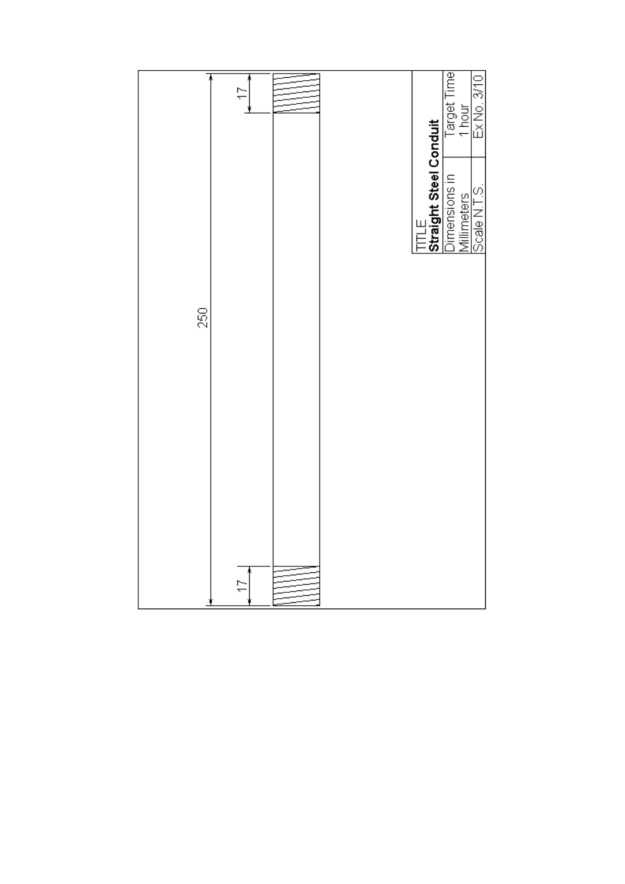